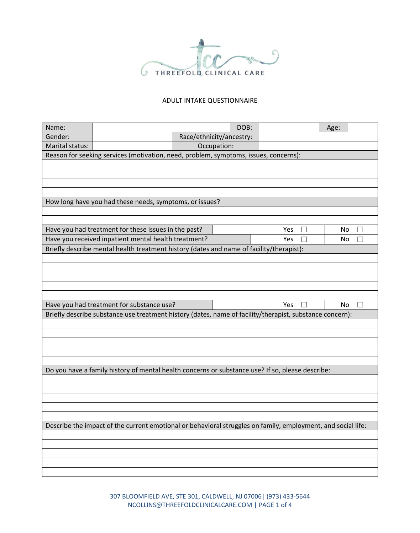

## ADULT INTAKE QUESTIONNAIRE

| Name:                                                                                |                                                                                                          | DOB:                                                                                                         |     | Age:                     |  |  |
|--------------------------------------------------------------------------------------|----------------------------------------------------------------------------------------------------------|--------------------------------------------------------------------------------------------------------------|-----|--------------------------|--|--|
| Gender:                                                                              |                                                                                                          | Race/ethnicity/ancestry:                                                                                     |     |                          |  |  |
| Marital status:                                                                      |                                                                                                          | Occupation:                                                                                                  |     |                          |  |  |
| Reason for seeking services (motivation, need, problem, symptoms, issues, concerns): |                                                                                                          |                                                                                                              |     |                          |  |  |
|                                                                                      |                                                                                                          |                                                                                                              |     |                          |  |  |
|                                                                                      |                                                                                                          |                                                                                                              |     |                          |  |  |
|                                                                                      |                                                                                                          |                                                                                                              |     |                          |  |  |
|                                                                                      |                                                                                                          |                                                                                                              |     |                          |  |  |
| How long have you had these needs, symptoms, or issues?                              |                                                                                                          |                                                                                                              |     |                          |  |  |
|                                                                                      |                                                                                                          |                                                                                                              |     |                          |  |  |
|                                                                                      | Have you had treatment for these issues in the past?                                                     |                                                                                                              | Yes | No.<br>$\vert \ \ \vert$ |  |  |
|                                                                                      | Have you received inpatient mental health treatment?                                                     |                                                                                                              | Yes | No                       |  |  |
|                                                                                      |                                                                                                          | Briefly describe mental health treatment history (dates and name of facility/therapist):                     |     |                          |  |  |
|                                                                                      |                                                                                                          |                                                                                                              |     |                          |  |  |
|                                                                                      |                                                                                                          |                                                                                                              |     |                          |  |  |
|                                                                                      |                                                                                                          |                                                                                                              |     |                          |  |  |
|                                                                                      |                                                                                                          |                                                                                                              |     |                          |  |  |
|                                                                                      |                                                                                                          |                                                                                                              |     |                          |  |  |
|                                                                                      | Have you had treatment for substance use?                                                                |                                                                                                              | Yes | No.<br>$\Box$            |  |  |
|                                                                                      |                                                                                                          |                                                                                                              |     |                          |  |  |
|                                                                                      | Briefly describe substance use treatment history (dates, name of facility/therapist, substance concern): |                                                                                                              |     |                          |  |  |
|                                                                                      |                                                                                                          |                                                                                                              |     |                          |  |  |
|                                                                                      |                                                                                                          |                                                                                                              |     |                          |  |  |
|                                                                                      |                                                                                                          |                                                                                                              |     |                          |  |  |
|                                                                                      |                                                                                                          |                                                                                                              |     |                          |  |  |
|                                                                                      |                                                                                                          |                                                                                                              |     |                          |  |  |
|                                                                                      |                                                                                                          | Do you have a family history of mental health concerns or substance use? If so, please describe:             |     |                          |  |  |
|                                                                                      |                                                                                                          |                                                                                                              |     |                          |  |  |
|                                                                                      |                                                                                                          |                                                                                                              |     |                          |  |  |
|                                                                                      |                                                                                                          |                                                                                                              |     |                          |  |  |
|                                                                                      |                                                                                                          |                                                                                                              |     |                          |  |  |
|                                                                                      |                                                                                                          | Describe the impact of the current emotional or behavioral struggles on family, employment, and social life: |     |                          |  |  |
|                                                                                      |                                                                                                          |                                                                                                              |     |                          |  |  |
|                                                                                      |                                                                                                          |                                                                                                              |     |                          |  |  |
|                                                                                      |                                                                                                          |                                                                                                              |     |                          |  |  |
|                                                                                      |                                                                                                          |                                                                                                              |     |                          |  |  |

307 BLOOMFIELD AVE, STE 301, CALDWELL, NJ 07006| (973) 433-5644 NCOLLINS@THREEFOLDCLINICALCARE.COM | PAGE 1 of 4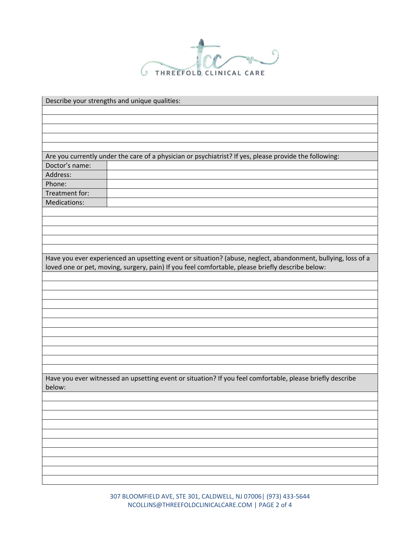

| Describe your strengths and unique qualities:                                                                |
|--------------------------------------------------------------------------------------------------------------|
|                                                                                                              |
|                                                                                                              |
|                                                                                                              |
|                                                                                                              |
|                                                                                                              |
| Are you currently under the care of a physician or psychiatrist? If yes, please provide the following:       |
| Doctor's name:                                                                                               |
| Address:                                                                                                     |
| Phone:                                                                                                       |
| Treatment for:                                                                                               |
| Medications:                                                                                                 |
|                                                                                                              |
|                                                                                                              |
|                                                                                                              |
|                                                                                                              |
|                                                                                                              |
| Have you ever experienced an upsetting event or situation? (abuse, neglect, abandonment, bullying, loss of a |
| loved one or pet, moving, surgery, pain) If you feel comfortable, please briefly describe below:             |
|                                                                                                              |
|                                                                                                              |
|                                                                                                              |
|                                                                                                              |
|                                                                                                              |
|                                                                                                              |
|                                                                                                              |
|                                                                                                              |
|                                                                                                              |
|                                                                                                              |
|                                                                                                              |
| Have you ever witnessed an upsetting event or situation? If you feel comfortable, please briefly describe    |
| below:                                                                                                       |
|                                                                                                              |
|                                                                                                              |
|                                                                                                              |
|                                                                                                              |
|                                                                                                              |
|                                                                                                              |
|                                                                                                              |
|                                                                                                              |
|                                                                                                              |
|                                                                                                              |

307 BLOOMFIELD AVE, STE 301, CALDWELL, NJ 07006| (973) 433-5644 NCOLLINS@THREEFOLDCLINICALCARE.COM | PAGE 2 of 4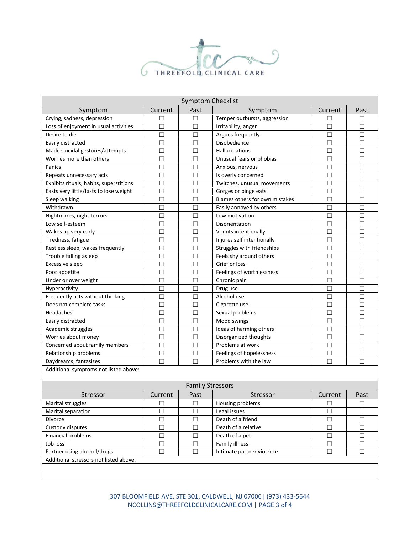

| <b>Symptom Checklist</b>                |         |                         |                                |         |        |  |  |  |
|-----------------------------------------|---------|-------------------------|--------------------------------|---------|--------|--|--|--|
| Symptom                                 | Current | Past                    | Symptom                        | Current | Past   |  |  |  |
| Crying, sadness, depression             | П       | П                       | Temper outbursts, aggression   | П       | П      |  |  |  |
| Loss of enjoyment in usual activities   | $\Box$  | П                       | Irritability, anger            | П       | $\Box$ |  |  |  |
| Desire to die                           | $\Box$  | $\Box$                  | Argues frequently              | $\Box$  | $\Box$ |  |  |  |
| Easily distracted                       | $\Box$  | $\Box$                  | Disobedience                   | $\Box$  | □      |  |  |  |
| Made suicidal gestures/attempts         | $\Box$  | □                       | Hallucinations                 | П       | □      |  |  |  |
| Worries more than others                | $\Box$  | П                       | Unusual fears or phobias       | $\Box$  | $\Box$ |  |  |  |
| Panics                                  | □       | $\Box$                  | Anxious, nervous               | П       | □      |  |  |  |
| Repeats unnecessary acts                | П       | $\Box$                  | Is overly concerned            | П       | П      |  |  |  |
| Exhibits rituals, habits, superstitions | $\Box$  | $\Box$                  | Twitches, unusual movements    | $\Box$  | П      |  |  |  |
| Easts very little/fasts to lose weight  | $\Box$  | П                       | Gorges or binge eats           | П       | П      |  |  |  |
| Sleep walking                           | $\Box$  | П                       | Blames others for own mistakes | $\Box$  | □      |  |  |  |
| Withdrawn                               | $\Box$  | $\Box$                  | Easily annoyed by others       | $\Box$  | $\Box$ |  |  |  |
| Nightmares, night terrors               | $\Box$  | $\Box$                  | Low motivation                 | $\Box$  | □      |  |  |  |
| Low self-esteem                         | $\Box$  | П                       | Disorientation                 | $\Box$  | □      |  |  |  |
| Wakes up very early                     | □       | $\Box$                  | Vomits intentionally           | П       | П      |  |  |  |
| Tiredness, fatigue                      | $\Box$  | $\Box$                  | Injures self intentionally     | П       | П      |  |  |  |
| Restless sleep, wakes frequently        | $\Box$  | $\Box$                  | Struggles with friendships     | П       | $\Box$ |  |  |  |
| Trouble falling asleep                  | П       | П                       | Feels shy around others        | П       | П      |  |  |  |
| <b>Excessive sleep</b>                  | $\Box$  | П                       | Grief or loss                  | $\Box$  | $\Box$ |  |  |  |
| Poor appetite                           | $\Box$  | $\Box$                  | Feelings of worthlessness      | $\Box$  | □      |  |  |  |
| Under or over weight                    | $\Box$  | $\Box$                  | Chronic pain                   | П       | $\Box$ |  |  |  |
| Hyperactivity                           | $\Box$  | $\Box$                  | Drug use                       | $\Box$  | □      |  |  |  |
| Frequently acts without thinking        | $\Box$  | П                       | Alcohol use                    | $\Box$  | $\Box$ |  |  |  |
| Does not complete tasks                 | $\Box$  | П                       | Cigarette use                  | □       | □      |  |  |  |
| Headaches                               | □       | П                       | Sexual problems                | П       | П      |  |  |  |
| Easily distracted                       | $\Box$  | $\Box$                  | Mood swings                    | П       | П      |  |  |  |
| Academic struggles                      | $\Box$  | $\Box$                  | Ideas of harming others        | $\Box$  | $\Box$ |  |  |  |
| Worries about money                     | $\Box$  | $\Box$                  | Disorganized thoughts          | $\Box$  | $\Box$ |  |  |  |
| Concerned about family members          | $\Box$  | $\Box$                  | Problems at work               | $\Box$  | $\Box$ |  |  |  |
| Relationship problems                   | $\Box$  | П                       | Feelings of hopelessness       | $\Box$  | □      |  |  |  |
| Daydreams, fantasizes                   | $\Box$  | П                       | Problems with the law          | $\Box$  | □      |  |  |  |
| Additional symptoms not listed above:   |         |                         |                                |         |        |  |  |  |
|                                         |         |                         |                                |         |        |  |  |  |
|                                         |         | <b>Family Stressors</b> |                                |         |        |  |  |  |
| Stressor                                | Current | Past                    | Stressor                       | Current | Past   |  |  |  |
| Marital struggles                       |         | $\Box$                  | Housing problems               |         |        |  |  |  |
| Marital separation                      | П       | $\Box$                  | Legal issues                   | П       | П      |  |  |  |

307 BLOOMFIELD AVE, STE 301, CALDWELL, NJ 07006| (973) 433-5644 NCOLLINS@THREEFOLDCLINICALCARE.COM | PAGE 3 of 4

Divorce ☐ ☐ Death of a friend ☐ ☐ Custody disputes │ □ │ □ │ Death of a relative │ □ │ □ Financial problems ☐ ☐ Death of a pet ☐ ☐ Job loss ☐ ☐ Family illness ☐ ☐ Partner using alcohol/drugs │ □ │ □ │ Ⅲ Intimate partner violence │ □ │ □

Additional stressors not listed above: